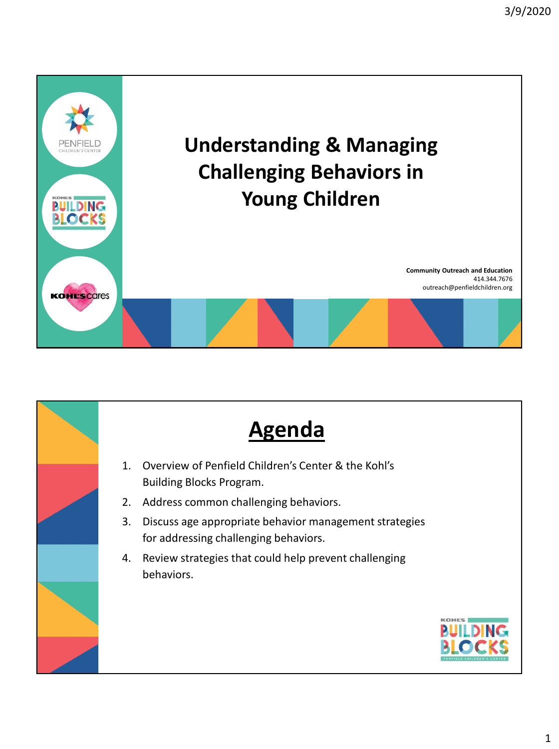

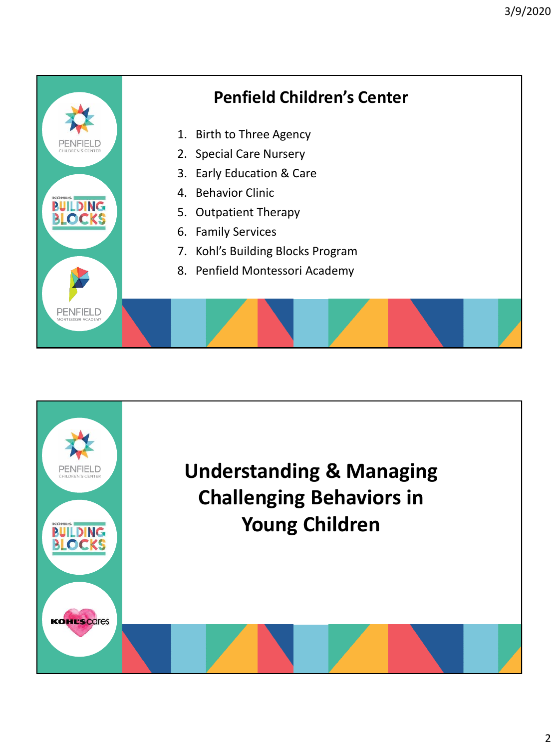

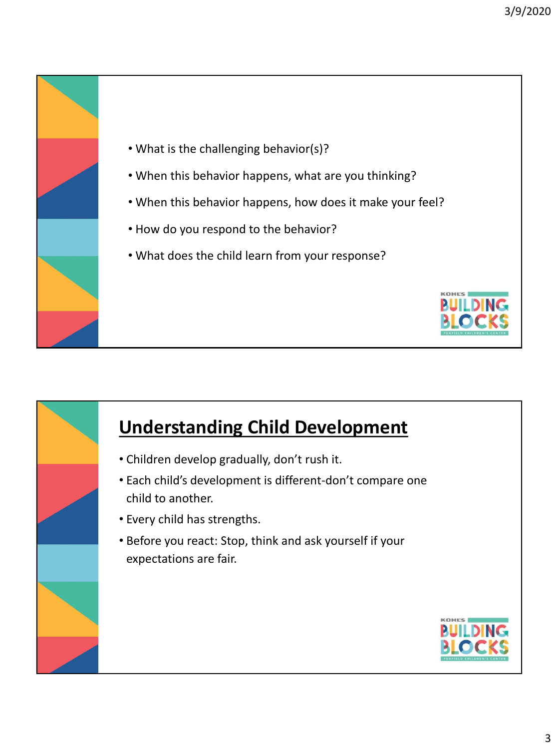

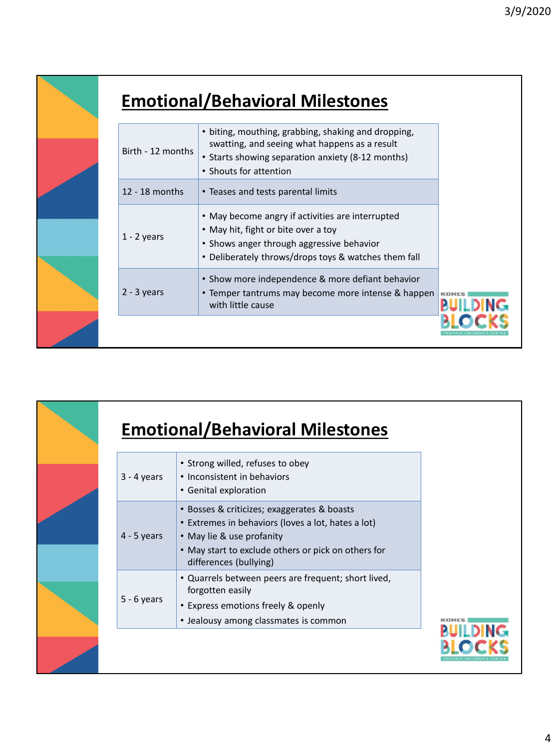

| Birth - 12 months | • biting, mouthing, grabbing, shaking and dropping,<br>swatting, and seeing what happens as a result<br>• Starts showing separation anxiety (8-12 months)<br>• Shouts for attention          |               |
|-------------------|----------------------------------------------------------------------------------------------------------------------------------------------------------------------------------------------|---------------|
| $12 - 18$ months  | • Teases and tests parental limits                                                                                                                                                           |               |
| $1 - 2$ years     | • May become angry if activities are interrupted<br>• May hit, fight or bite over a toy<br>• Shows anger through aggressive behavior<br>• Deliberately throws/drops toys & watches them fall |               |
| $2 - 3$ years     | • Show more independence & more defiant behavior<br>• Temper tantrums may become more intense & happen<br>with little cause                                                                  | <b>KOHL'S</b> |
|                   |                                                                                                                                                                                              |               |

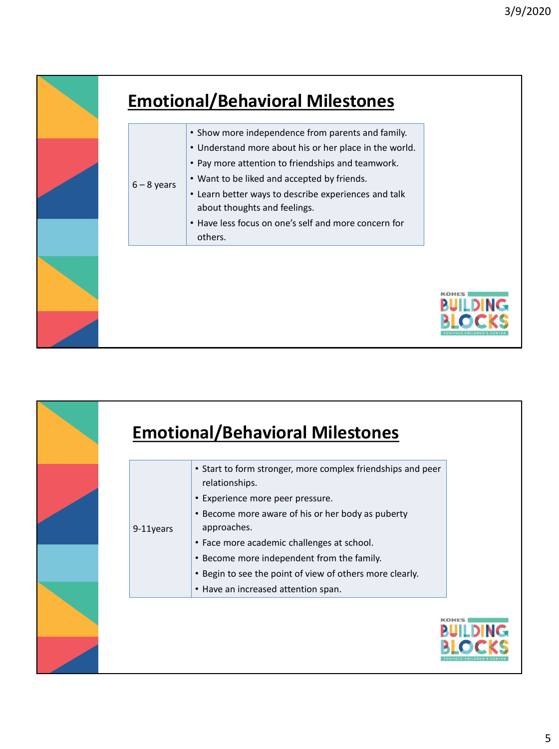| <b>Emotional/Behavioral Milestones</b>                                                                                                                                                                                                                                                                                                                                                      |  |
|---------------------------------------------------------------------------------------------------------------------------------------------------------------------------------------------------------------------------------------------------------------------------------------------------------------------------------------------------------------------------------------------|--|
| • Show more independence from parents and family.<br>• Understand more about his or her place in the world.<br>• Pay more attention to friendships and teamwork.<br>• Want to be liked and accepted by friends.<br>$6 - 8$ years<br>• Learn better ways to describe experiences and talk<br>about thoughts and feelings.<br>• Have less focus on one's self and more concern for<br>others. |  |
|                                                                                                                                                                                                                                                                                                                                                                                             |  |

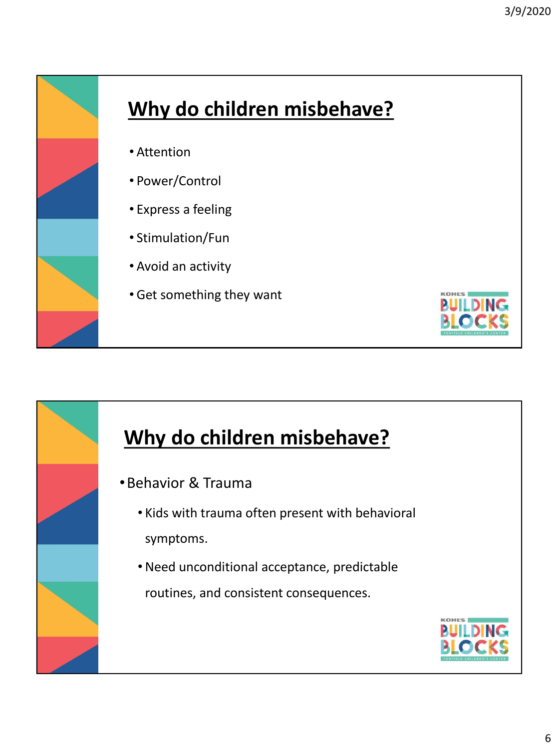



- •Behavior & Trauma
	- Kids with trauma often present with behavioral symptoms.
	- Need unconditional acceptance, predictable routines, and consistent consequences.

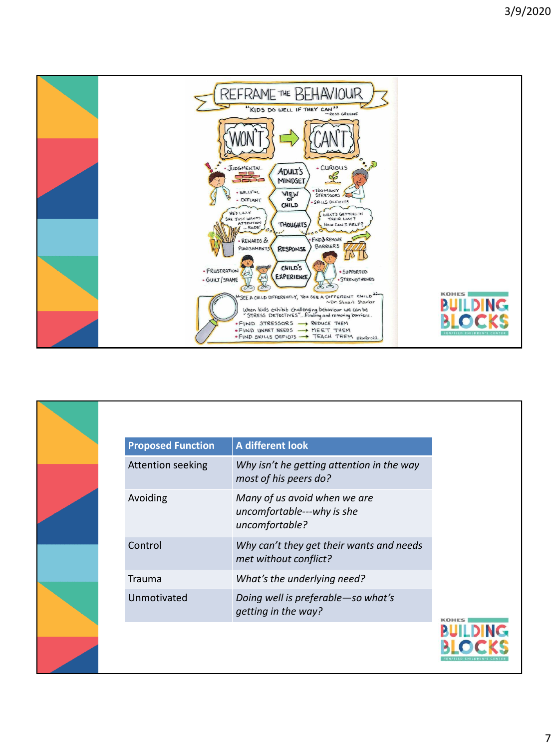

| <b>Proposed Function</b> | <b>A different look</b>                                                      |
|--------------------------|------------------------------------------------------------------------------|
| <b>Attention seeking</b> | Why isn't he getting attention in the way<br>most of his peers do?           |
| Avoiding                 | Many of us avoid when we are<br>uncomfortable---why is she<br>uncomfortable? |
| Control                  | Why can't they get their wants and needs<br>met without conflict?            |
| <b>Trauma</b>            | What's the underlying need?                                                  |
| Unmotivated              | Doing well is preferable-so what's<br>getting in the way?                    |
|                          |                                                                              |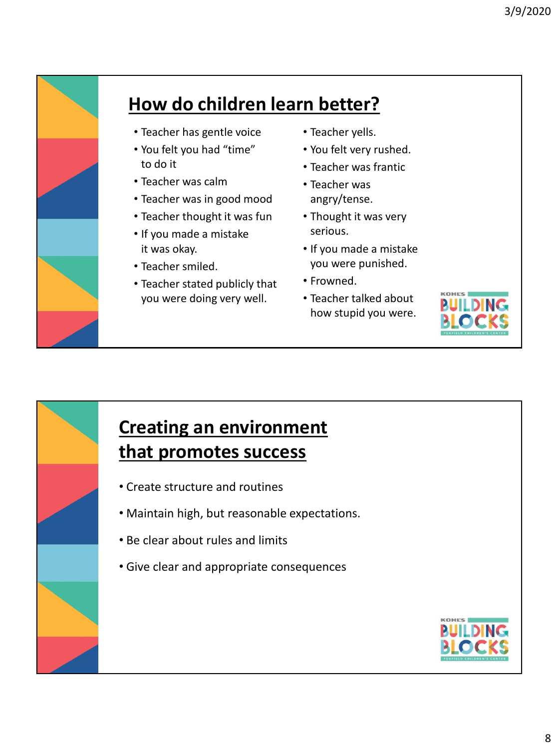

### **How do children learn better?**

- Teacher has gentle voice
- You felt you had "time" to do it
- Teacher was calm
- Teacher was in good mood
- Teacher thought it was fun
- If you made a mistake it was okay.
- Teacher smiled.
- Teacher stated publicly that you were doing very well.
- Teacher yells.
- You felt very rushed.
- Teacher was frantic
- Teacher was angry/tense.
- Thought it was very serious.
- If you made a mistake you were punished.
- Frowned.
- Teacher talked about how stupid you were.





- Create structure and routines
- Maintain high, but reasonable expectations.
- Be clear about rules and limits
- Give clear and appropriate consequences

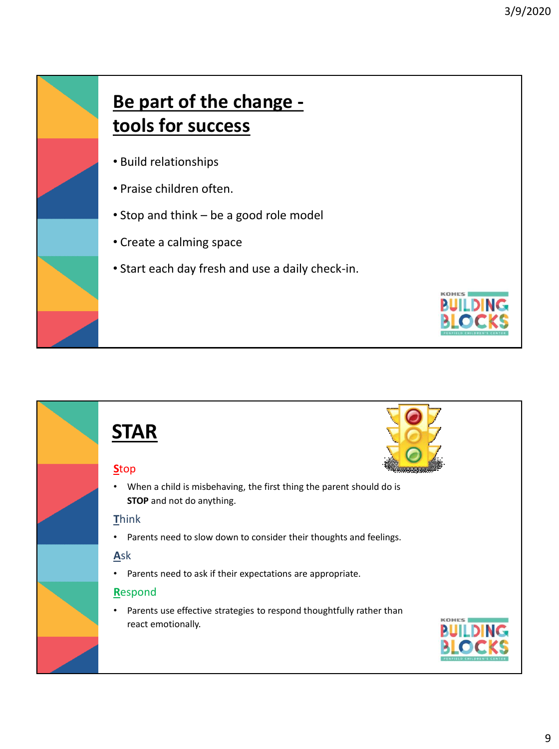

### **Be part of the change tools for success**

- Build relationships
- Praise children often.
- Stop and think be a good role model
- Create a calming space
- Start each day fresh and use a daily check-in.



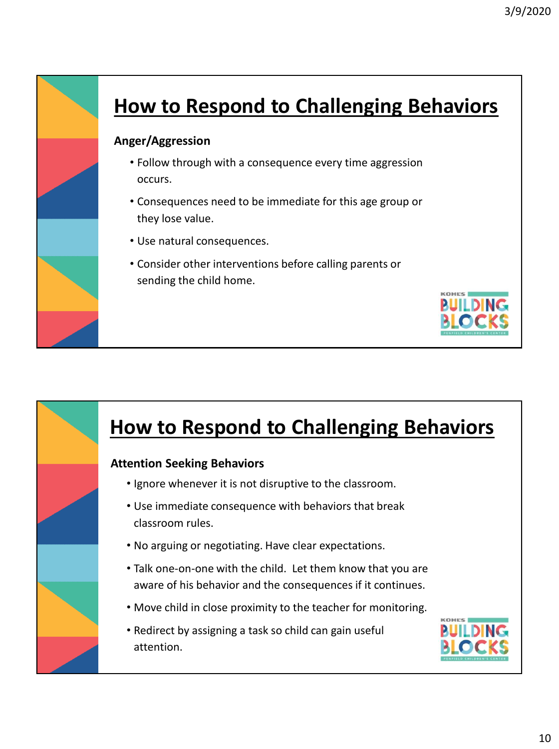

# **How to Respond to Challenging Behaviors**

#### **Anger/Aggression**

- Follow through with a consequence every time aggression occurs.
- Consequences need to be immediate for this age group or they lose value.
- Use natural consequences.
- Consider other interventions before calling parents or sending the child home.

### **How to Respond to Challenging Behaviors**

#### **Attention Seeking Behaviors**

- Ignore whenever it is not disruptive to the classroom.
- Use immediate consequence with behaviors that break classroom rules.
- No arguing or negotiating. Have clear expectations.
- Talk one-on-one with the child. Let them know that you are aware of his behavior and the consequences if it continues.
- Move child in close proximity to the teacher for monitoring.
- Redirect by assigning a task so child can gain useful attention.

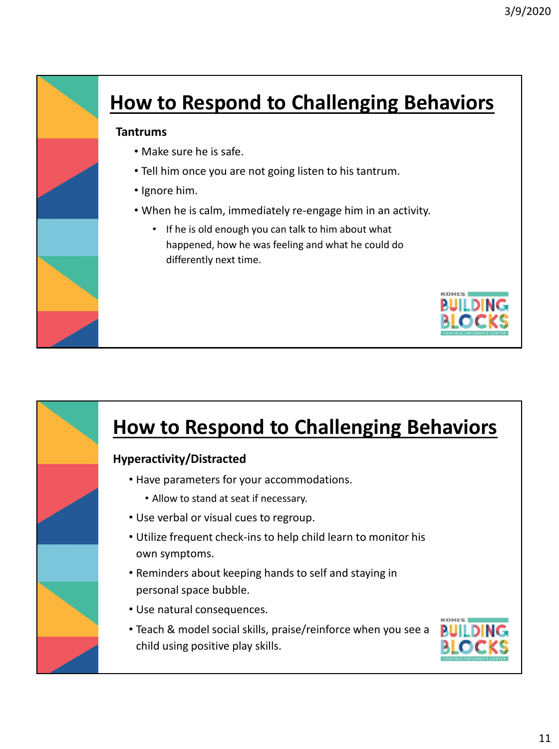

# **How to Respond to Challenging Behaviors**

#### **Hyperactivity/Distracted**

- Have parameters for your accommodations.
	- Allow to stand at seat if necessary.
- Use verbal or visual cues to regroup.
- Utilize frequent check-ins to help child learn to monitor his own symptoms.
- Reminders about keeping hands to self and staying in personal space bubble.
- Use natural consequences.
- Teach & model social skills, praise/reinforce when you see a child using positive play skills.

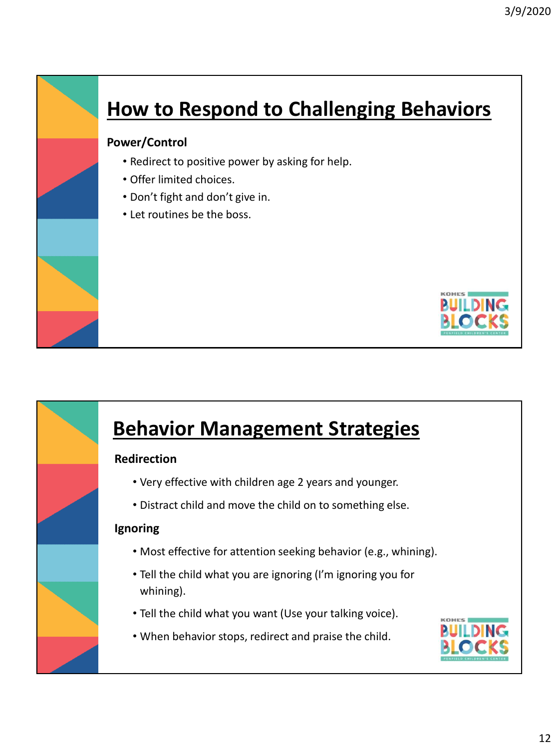

# **How to Respond to Challenging Behaviors**

#### **Power/Control**

- Redirect to positive power by asking for help.
- Offer limited choices.
- Don't fight and don't give in.
- Let routines be the boss.



# **Behavior Management Strategies**

#### **Redirection**

- Very effective with children age 2 years and younger.
- Distract child and move the child on to something else.

#### **Ignoring**

- Most effective for attention seeking behavior (e.g., whining).
- Tell the child what you are ignoring (I'm ignoring you for whining).
- Tell the child what you want (Use your talking voice).
- When behavior stops, redirect and praise the child.

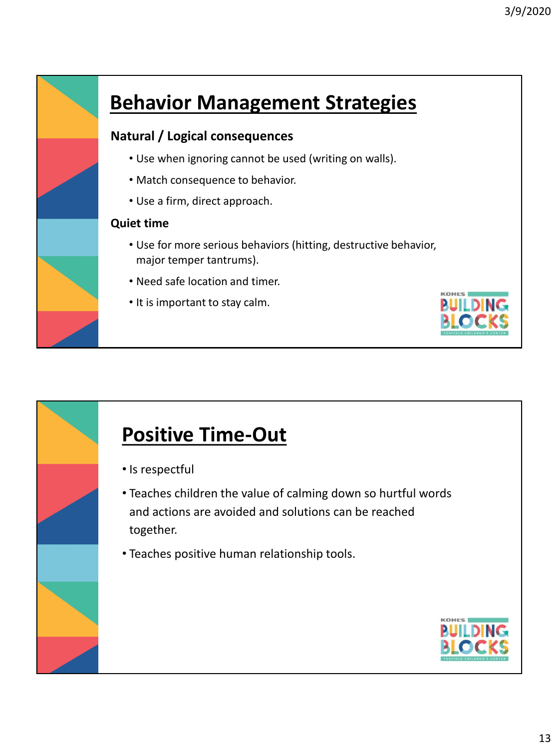

### **Positive Time-Out**

- Is respectful
- Teaches children the value of calming down so hurtful words and actions are avoided and solutions can be reached together.
- Teaches positive human relationship tools.

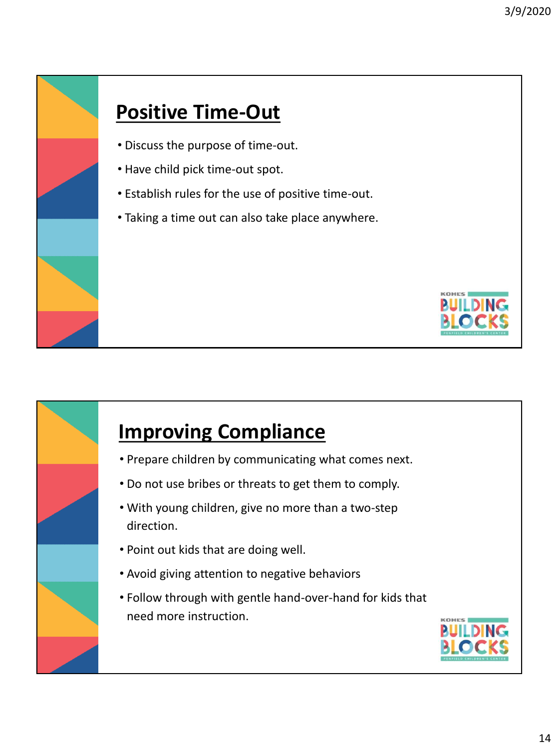

# **Positive Time-Out**

- Discuss the purpose of time-out.
- Have child pick time-out spot.
- Establish rules for the use of positive time-out.
- Taking a time out can also take place anywhere.





# **Improving Compliance**

- Prepare children by communicating what comes next.
- Do not use bribes or threats to get them to comply.
- With young children, give no more than a two-step
- Point out kids that are doing well.
- Avoid giving attention to negative behaviors
- Follow through with gentle hand-over-hand for kids that need more instruction.

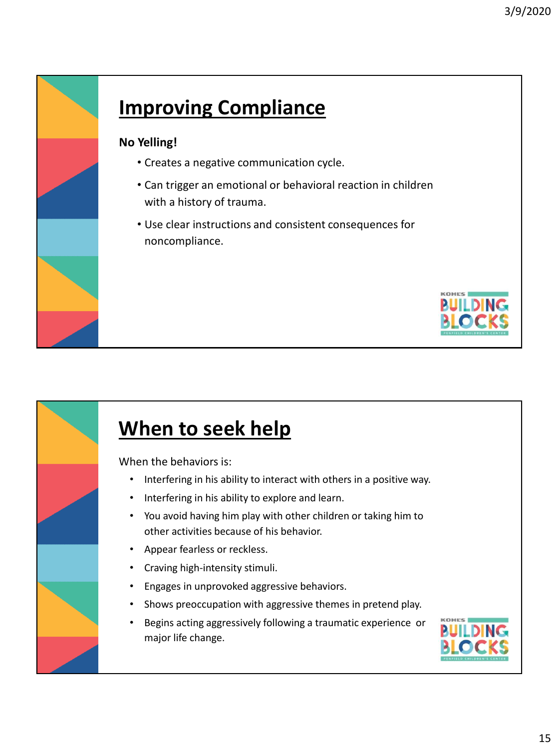

# **Improving Compliance**

#### **No Yelling!**

- Creates a negative communication cycle.
- Can trigger an emotional or behavioral reaction in children with a history of trauma.
- Use clear instructions and consistent consequences for noncompliance.



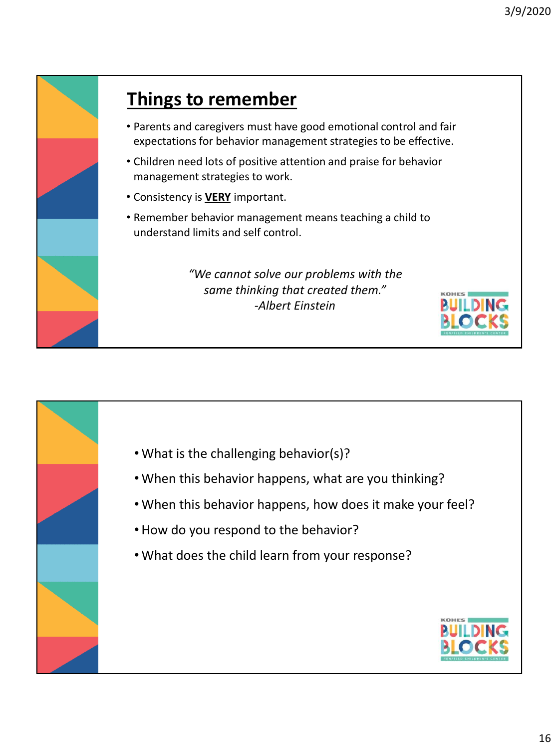

### **Things to remember**

- Parents and caregivers must have good emotional control and fair expectations for behavior management strategies to be effective.
- Children need lots of positive attention and praise for behavior management strategies to work.
- Consistency is **VERY** important.
- Remember behavior management means teaching a child to understand limits and self control.

*"We cannot solve our problems with the same thinking that created them." -Albert Einstein*

- What is the challenging behavior(s)?
- When this behavior happens, what are you thinking?
- When this behavior happens, how does it make your feel?
- How do you respond to the behavior?
- What does the child learn from your response?



**KOMPS**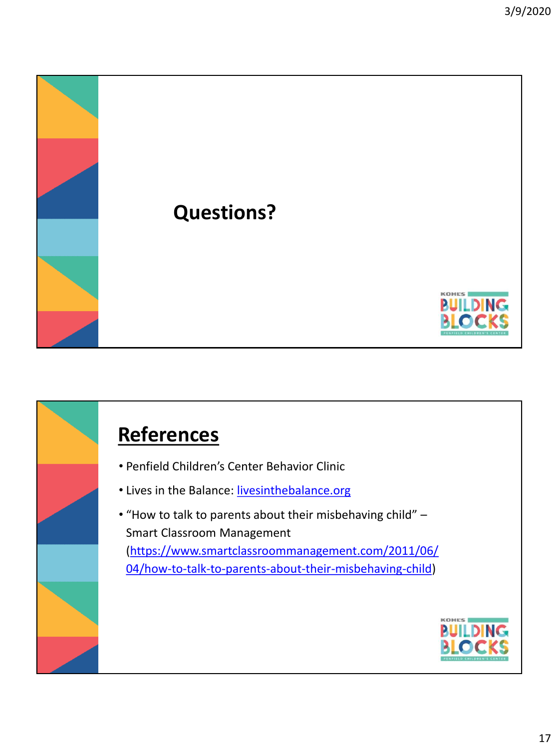